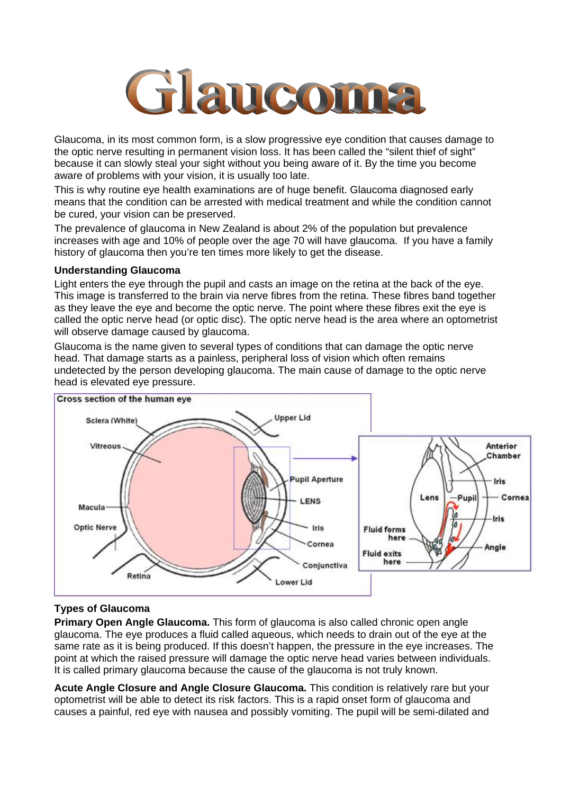

Glaucoma, in its most common form, is a slow progressive eye condition that causes damage to the optic nerve resulting in permanent vision loss. It has been called the "silent thief of sight" because it can slowly steal your sight without you being aware of it. By the time you become aware of problems with your vision, it is usually too late.

This is why routine eye health examinations are of huge benefit. Glaucoma diagnosed early means that the condition can be arrested with medical treatment and while the condition cannot be cured, your vision can be preserved.

The prevalence of glaucoma in New Zealand is about 2% of the population but prevalence increases with age and 10% of people over the age 70 will have glaucoma. If you have a family history of glaucoma then you're ten times more likely to get the disease.

### **Understanding Glaucoma**

Light enters the eye through the pupil and casts an image on the retina at the back of the eye. This image is transferred to the brain via nerve fibres from the retina. These fibres band together as they leave the eye and become the optic nerve. The point where these fibres exit the eye is called the optic nerve head (or optic disc). The optic nerve head is the area where an optometrist will observe damage caused by glaucoma.

Glaucoma is the name given to several types of conditions that can damage the optic nerve head. That damage starts as a painless, peripheral loss of vision which often remains undetected by the person developing glaucoma. The main cause of damage to the optic nerve head is elevated eye pressure.



### **Types of Glaucoma**

**Primary Open Angle Glaucoma.** This form of glaucoma is also called chronic open angle glaucoma. The eye produces a fluid called aqueous, which needs to drain out of the eye at the same rate as it is being produced. If this doesn't happen, the pressure in the eye increases. The point at which the raised pressure will damage the optic nerve head varies between individuals. It is called primary glaucoma because the cause of the glaucoma is not truly known.

**Acute Angle Closure and Angle Closure Glaucoma.** This condition is relatively rare but your optometrist will be able to detect its risk factors. This is a rapid onset form of glaucoma and causes a painful, red eye with nausea and possibly vomiting. The pupil will be semi-dilated and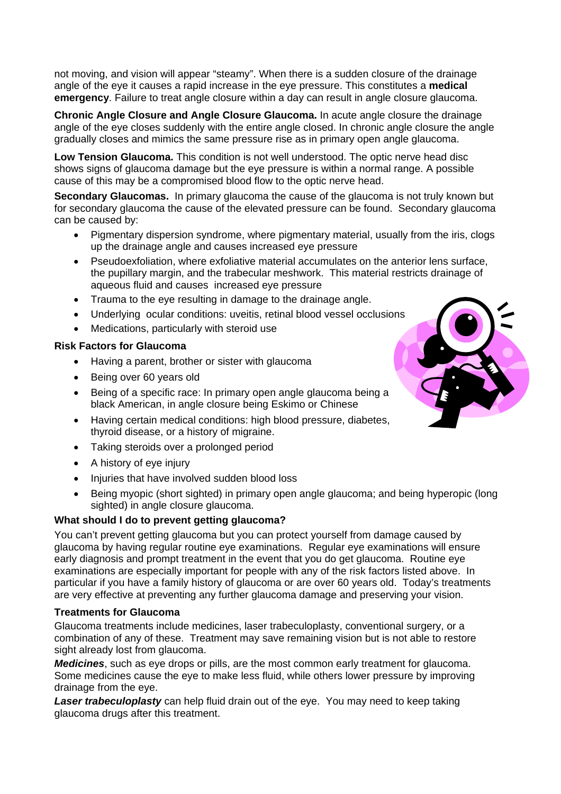not moving, and vision will appear "steamy". When there is a sudden closure of the drainage angle of the eye it causes a rapid increase in the eye pressure. This constitutes a **medical emergency**. Failure to treat angle closure within a day can result in angle closure glaucoma.

**Chronic Angle Closure and Angle Closure Glaucoma.** In acute angle closure the drainage angle of the eye closes suddenly with the entire angle closed. In chronic angle closure the angle gradually closes and mimics the same pressure rise as in primary open angle glaucoma.

**Low Tension Glaucoma.** This condition is not well understood. The optic nerve head disc shows signs of glaucoma damage but the eye pressure is within a normal range. A possible cause of this may be a compromised blood flow to the optic nerve head.

**Secondary Glaucomas.** In primary glaucoma the cause of the glaucoma is not truly known but for secondary glaucoma the cause of the elevated pressure can be found. Secondary glaucoma can be caused by:

- Pigmentary dispersion syndrome, where pigmentary material, usually from the iris, clogs up the drainage angle and causes increased eye pressure
- Pseudoexfoliation, where exfoliative material accumulates on the anterior lens surface, the pupillary margin, and the trabecular meshwork. This material restricts drainage of aqueous fluid and causes increased eye pressure
- Trauma to the eye resulting in damage to the drainage angle.
- Underlying ocular conditions: uveitis, retinal blood vessel occlusions
- Medications, particularly with steroid use

### **Risk Factors for Glaucoma**

- Having a parent, brother or sister with glaucoma
- Being over 60 years old
- Being of a specific race: In primary open angle glaucoma being a black American, in angle closure being Eskimo or Chinese
- Having certain medical conditions: high blood pressure, diabetes, thyroid disease, or a history of migraine.
- Taking steroids over a prolonged period
- A history of eye injury
- Injuries that have involved sudden blood loss
- Being myopic (short sighted) in primary open angle glaucoma; and being hyperopic (long sighted) in angle closure glaucoma.

## **What should I do to prevent getting glaucoma?**

You can't prevent getting glaucoma but you can protect yourself from damage caused by glaucoma by having regular routine eye examinations. Regular eye examinations will ensure early diagnosis and prompt treatment in the event that you do get glaucoma. Routine eye examinations are especially important for people with any of the risk factors listed above. In particular if you have a family history of glaucoma or are over 60 years old. Today's treatments are very effective at preventing any further glaucoma damage and preserving your vision.

### **Treatments for Glaucoma**

Glaucoma treatments include medicines, laser trabeculoplasty, conventional surgery, or a combination of any of these. Treatment may save remaining vision but is not able to restore sight already lost from glaucoma.

*Medicines*, such as eye drops or pills, are the most common early treatment for glaucoma. Some medicines cause the eye to make less fluid, while others lower pressure by improving drainage from the eye.

*Laser trabeculoplasty* can help fluid drain out of the eye. You may need to keep taking glaucoma drugs after this treatment.